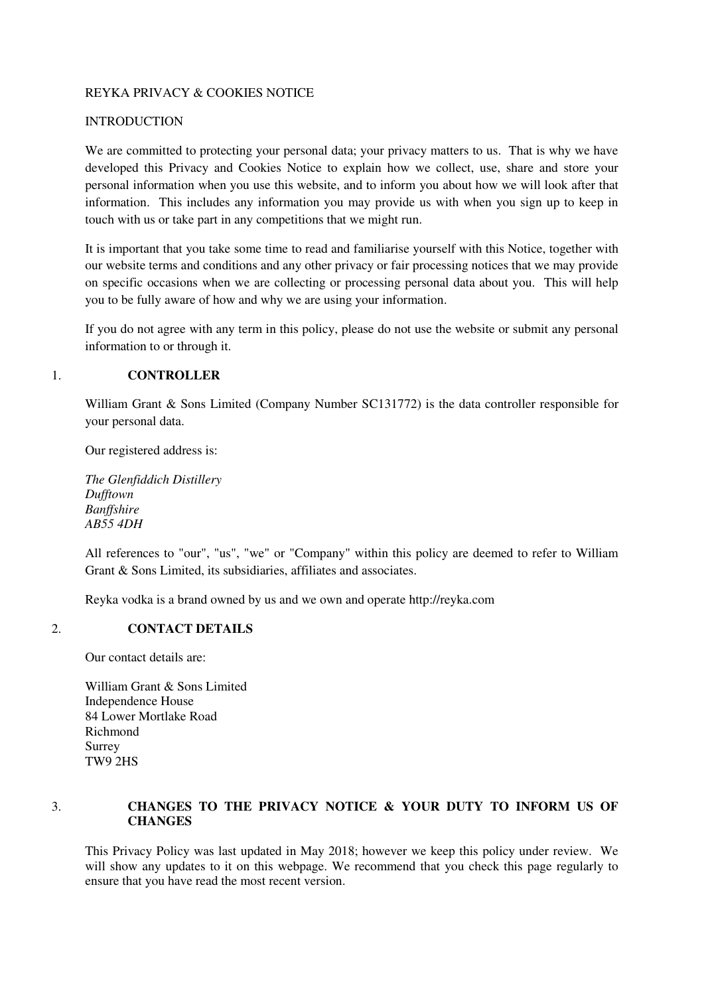### REYKA PRIVACY & COOKIES NOTICE

### **INTRODUCTION**

We are committed to protecting your personal data; your privacy matters to us. That is why we have developed this Privacy and Cookies Notice to explain how we collect, use, share and store your personal information when you use this website, and to inform you about how we will look after that information. This includes any information you may provide us with when you sign up to keep in touch with us or take part in any competitions that we might run.

It is important that you take some time to read and familiarise yourself with this Notice, together with our website terms and conditions and any other privacy or fair processing notices that we may provide on specific occasions when we are collecting or processing personal data about you. This will help you to be fully aware of how and why we are using your information.

If you do not agree with any term in this policy, please do not use the website or submit any personal information to or through it.

### 1. **CONTROLLER**

William Grant & Sons Limited (Company Number SC131772) is the data controller responsible for your personal data.

Our registered address is:

*The Glenfiddich Distillery Dufftown Banffshire AB55 4DH*

All references to "our", "us", "we" or "Company" within this policy are deemed to refer to William Grant & Sons Limited, its subsidiaries, affiliates and associates.

Reyka vodka is a brand owned by us and we own and operate http://reyka.com

#### 2. **CONTACT DETAILS**

Our contact details are:

William Grant & Sons Limited Independence House 84 Lower Mortlake Road Richmond Surrey TW9 2HS

## 3. **CHANGES TO THE PRIVACY NOTICE & YOUR DUTY TO INFORM US OF CHANGES**

This Privacy Policy was last updated in May 2018; however we keep this policy under review. We will show any updates to it on this webpage. We recommend that you check this page regularly to ensure that you have read the most recent version.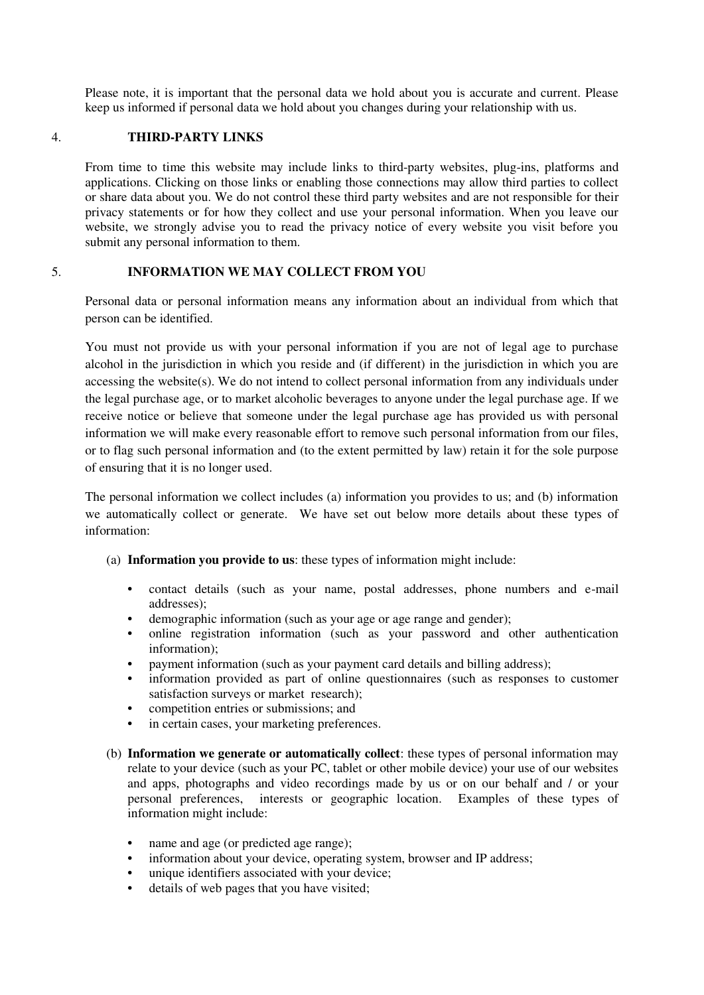Please note, it is important that the personal data we hold about you is accurate and current. Please keep us informed if personal data we hold about you changes during your relationship with us.

### 4. **THIRD-PARTY LINKS**

From time to time this website may include links to third-party websites, plug-ins, platforms and applications. Clicking on those links or enabling those connections may allow third parties to collect or share data about you. We do not control these third party websites and are not responsible for their privacy statements or for how they collect and use your personal information. When you leave our website, we strongly advise you to read the privacy notice of every website you visit before you submit any personal information to them.

## 5. **INFORMATION WE MAY COLLECT FROM YOU**

Personal data or personal information means any information about an individual from which that person can be identified.

You must not provide us with your personal information if you are not of legal age to purchase alcohol in the jurisdiction in which you reside and (if different) in the jurisdiction in which you are accessing the website(s). We do not intend to collect personal information from any individuals under the legal purchase age, or to market alcoholic beverages to anyone under the legal purchase age. If we receive notice or believe that someone under the legal purchase age has provided us with personal information we will make every reasonable effort to remove such personal information from our files, or to flag such personal information and (to the extent permitted by law) retain it for the sole purpose of ensuring that it is no longer used.

The personal information we collect includes (a) information you provides to us; and (b) information we automatically collect or generate. We have set out below more details about these types of information:

- (a) **Information you provide to us**: these types of information might include:
	- **•** contact details (such as your name, postal addresses, phone numbers and e-mail addresses);
	- demographic information (such as your age or age range and gender);
	- **•** online registration information (such as your password and other authentication information);
	- **•** payment information (such as your payment card details and billing address);
	- information provided as part of online questionnaires (such as responses to customer satisfaction surveys or market research);
	- **•** competition entries or submissions; and
	- **•** in certain cases, your marketing preferences.
- (b) **Information we generate or automatically collect**: these types of personal information may relate to your device (such as your PC, tablet or other mobile device) your use of our websites and apps, photographs and video recordings made by us or on our behalf and / or your personal preferences, interests or geographic location. Examples of these types of information might include:
	- **•** name and age (or predicted age range);
	- **•** information about your device, operating system, browser and IP address;
	- unique identifiers associated with your device:
	- details of web pages that you have visited;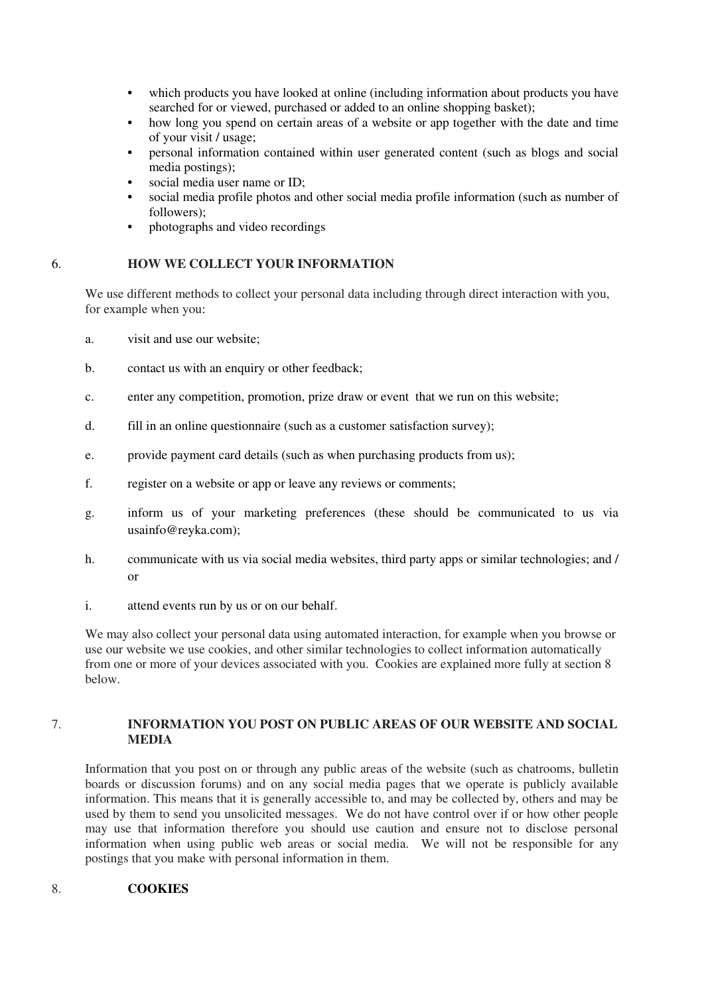- **•** which products you have looked at online (including information about products you have searched for or viewed, purchased or added to an online shopping basket);
- how long you spend on certain areas of a website or app together with the date and time of your visit / usage;
- **•** personal information contained within user generated content (such as blogs and social media postings);
- **•** social media user name or ID;
- **•** social media profile photos and other social media profile information (such as number of followers);
- **•** photographs and video recordings

### 6. **HOW WE COLLECT YOUR INFORMATION**

We use different methods to collect your personal data including through direct interaction with you, for example when you:

- a. visit and use our website;
- b. contact us with an enquiry or other feedback;
- c. enter any competition, promotion, prize draw or event that we run on this website;
- d. fill in an online questionnaire (such as a customer satisfaction survey);
- e. provide payment card details (such as when purchasing products from us);
- f. register on a website or app or leave any reviews or comments;
- g. inform us of your marketing preferences (these should be communicated to us via usainfo@reyka.com);
- h. communicate with us via social media websites, third party apps or similar technologies; and / or
- i. attend events run by us or on our behalf.

We may also collect your personal data using automated interaction, for example when you browse or use our website we use cookies, and other similar technologies to collect information automatically from one or more of your devices associated with you. Cookies are explained more fully at section 8 below.

### 7. **INFORMATION YOU POST ON PUBLIC AREAS OF OUR WEBSITE AND SOCIAL MEDIA**

Information that you post on or through any public areas of the website (such as chatrooms, bulletin boards or discussion forums) and on any social media pages that we operate is publicly available information. This means that it is generally accessible to, and may be collected by, others and may be used by them to send you unsolicited messages. We do not have control over if or how other people may use that information therefore you should use caution and ensure not to disclose personal information when using public web areas or social media. We will not be responsible for any postings that you make with personal information in them.

## 8. **COOKIES**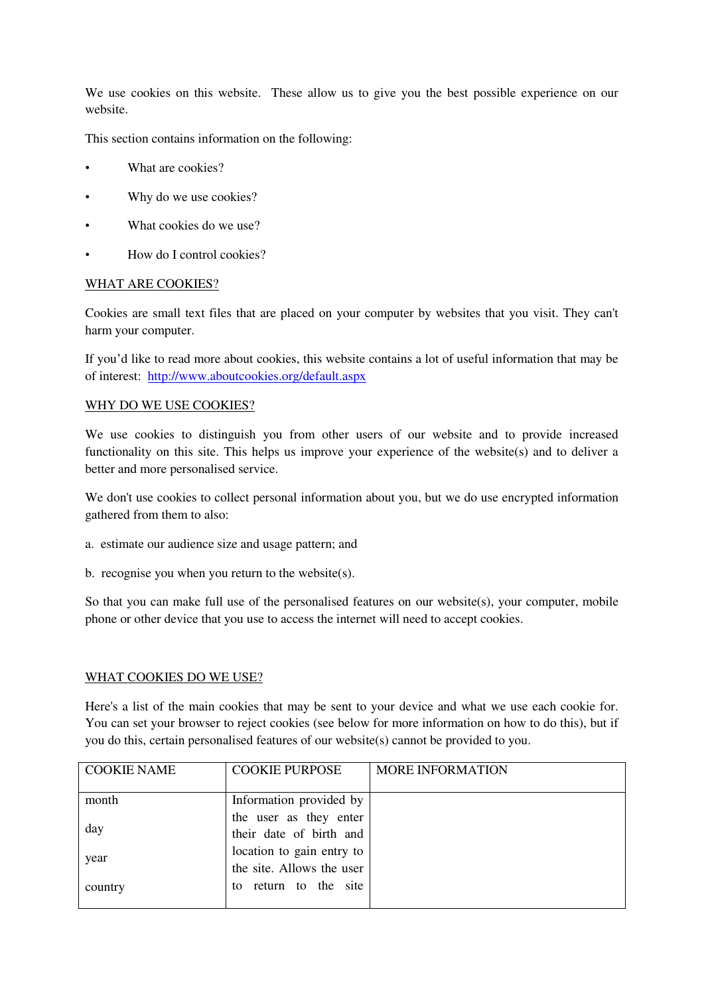We use cookies on this website. These allow us to give you the best possible experience on our website.

This section contains information on the following:

- What are cookies?
- Why do we use cookies?
- What cookies do we use?
- How do I control cookies?

#### WHAT ARE COOKIES?

Cookies are small text files that are placed on your computer by websites that you visit. They can't harm your computer.

If you'd like to read more about cookies, this website contains a lot of useful information that may be of interest: <http://www.aboutcookies.org/default.aspx>

#### WHY DO WE USE COOKIES?

We use cookies to distinguish you from other users of our website and to provide increased functionality on this site. This helps us improve your experience of the website(s) and to deliver a better and more personalised service.

We don't use cookies to collect personal information about you, but we do use encrypted information gathered from them to also:

- a. estimate our audience size and usage pattern; and
- b. recognise you when you return to the website(s).

So that you can make full use of the personalised features on our website(s), your computer, mobile phone or other device that you use to access the internet will need to accept cookies.

#### WHAT COOKIES DO WE USE?

Here's a list of the main cookies that may be sent to your device and what we use each cookie for. You can set your browser to reject cookies (see below for more information on how to do this), but if you do this, certain personalised features of our website(s) cannot be provided to you.

| <b>COOKIE NAME</b> | <b>COOKIE PURPOSE</b>     | <b>MORE INFORMATION</b> |
|--------------------|---------------------------|-------------------------|
|                    |                           |                         |
| month              | Information provided by   |                         |
| day                | the user as they enter    |                         |
|                    | their date of birth and   |                         |
| year               | location to gain entry to |                         |
|                    | the site. Allows the user |                         |
| country            | return to the site<br>to  |                         |
|                    |                           |                         |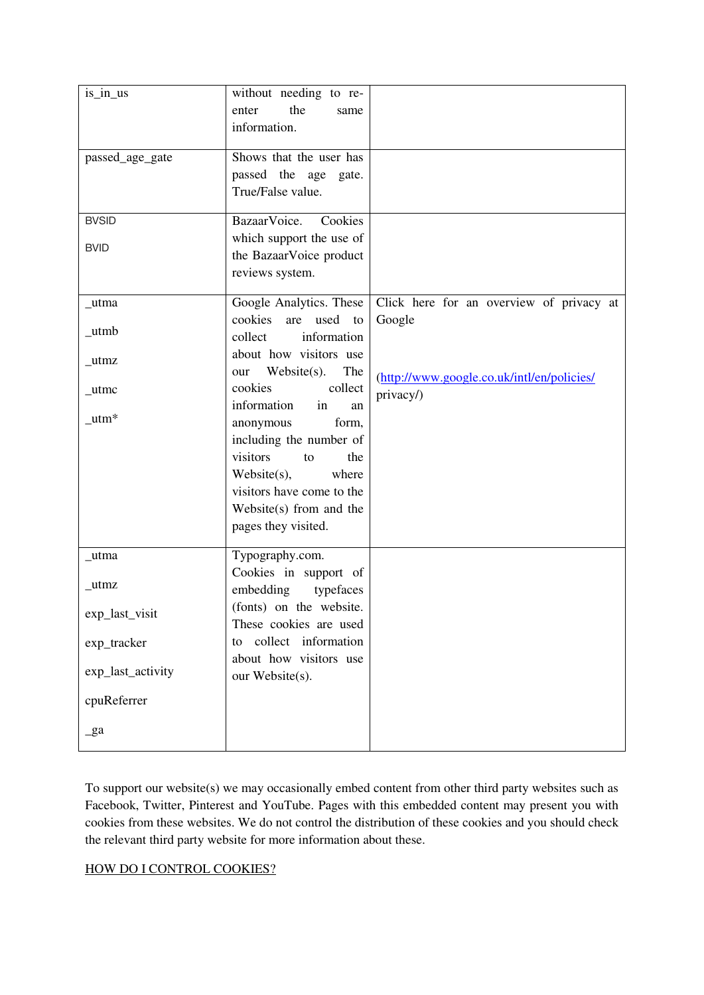| is_in_us                | without needing to re-       |                                            |
|-------------------------|------------------------------|--------------------------------------------|
|                         | the<br>enter<br>same         |                                            |
|                         | information.                 |                                            |
| passed_age_gate         | Shows that the user has      |                                            |
|                         | passed the age<br>gate.      |                                            |
|                         | True/False value.            |                                            |
|                         |                              |                                            |
| <b>BVSID</b>            | BazaarVoice.<br>Cookies      |                                            |
| <b>BVID</b>             | which support the use of     |                                            |
|                         | the BazaarVoice product      |                                            |
|                         | reviews system.              |                                            |
| _utma                   | Google Analytics. These      | Click here for an overview of privacy at   |
|                         | cookies<br>are<br>used<br>to | Google                                     |
| $\_$ utmb               | collect<br>information       |                                            |
|                         | about how visitors use       |                                            |
| $_{\text{u}}$ tmz       | Website(s).<br>The<br>our    |                                            |
| $_{\text{u$ tmc}}       | cookies<br>collect           | (http://www.google.co.uk/intl/en/policies/ |
|                         | information<br>in<br>an      | privacy/)                                  |
| $_{\text{uum}*}$        | anonymous<br>form,           |                                            |
|                         | including the number of      |                                            |
|                         | visitors<br>the<br>to        |                                            |
|                         | Website(s),<br>where         |                                            |
|                         | visitors have come to the    |                                            |
|                         | Website $(s)$ from and the   |                                            |
|                         | pages they visited.          |                                            |
| _utma                   | Typography.com.              |                                            |
|                         | Cookies in support of        |                                            |
| _utmz<br>exp_last_visit | embedding<br>typefaces       |                                            |
|                         | (fonts) on the website.      |                                            |
|                         | These cookies are used       |                                            |
| exp_tracker             | to collect information       |                                            |
|                         | about how visitors use       |                                            |
| exp_last_activity       | our Website(s).              |                                            |
|                         |                              |                                            |
| cpuReferrer             |                              |                                            |
| $\mathbf{g}$ a          |                              |                                            |
|                         |                              |                                            |

To support our website(s) we may occasionally embed content from other third party websites such as Facebook, Twitter, Pinterest and YouTube. Pages with this embedded content may present you with cookies from these websites. We do not control the distribution of these cookies and you should check the relevant third party website for more information about these.

### HOW DO I CONTROL COOKIES?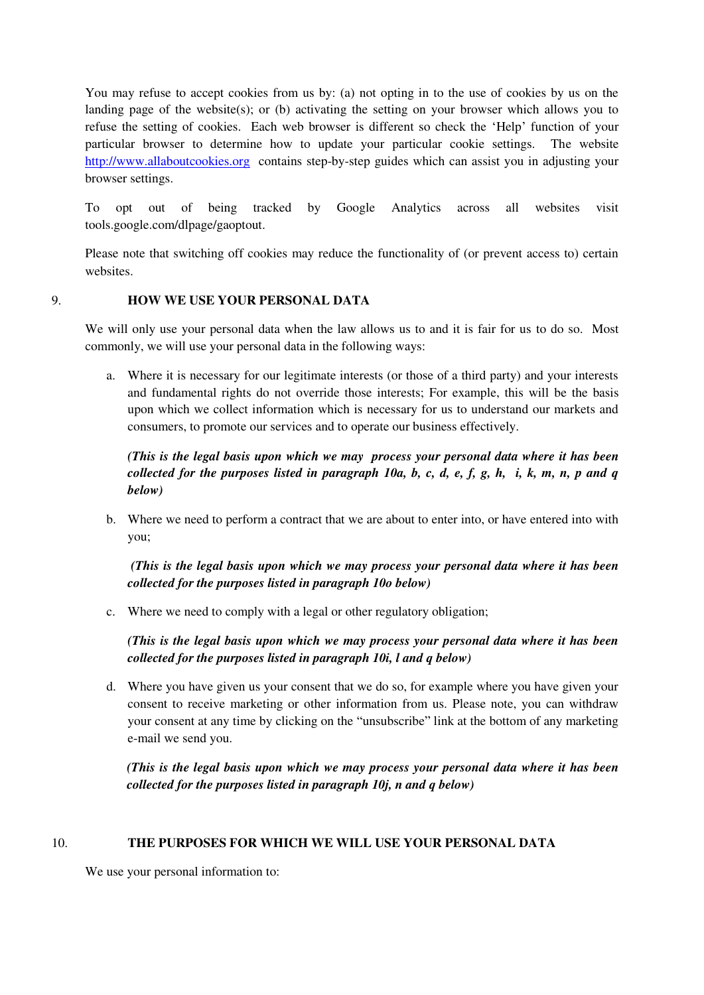You may refuse to accept cookies from us by: (a) not opting in to the use of cookies by us on the landing page of the website(s); or (b) activating the setting on your browser which allows you to refuse the setting of cookies. Each web browser is different so check the 'Help' function of your particular browser to determine how to update your particular cookie settings. The website [http://www.allaboutcookies.org](http://www.allaboutcookies.org/) contains step-by-step guides which can assist you in adjusting your browser settings.

To opt out of being tracked by Google Analytics across all websites visit tools.google.com/dlpage/gaoptout.

Please note that switching off cookies may reduce the functionality of (or prevent access to) certain websites.

## 9. **HOW WE USE YOUR PERSONAL DATA**

We will only use your personal data when the law allows us to and it is fair for us to do so. Most commonly, we will use your personal data in the following ways:

a. Where it is necessary for our legitimate interests (or those of a third party) and your interests and fundamental rights do not override those interests; For example, this will be the basis upon which we collect information which is necessary for us to understand our markets and consumers, to promote our services and to operate our business effectively.

*(This is the legal basis upon which we may process your personal data where it has been collected for the purposes listed in paragraph 10a, b, c, d, e, f, g, h, i, k, m, n, p and q below)*

b. Where we need to perform a contract that we are about to enter into, or have entered into with you;

 *(This is the legal basis upon which we may process your personal data where it has been collected for the purposes listed in paragraph 10o below)*

c. Where we need to comply with a legal or other regulatory obligation;

*(This is the legal basis upon which we may process your personal data where it has been collected for the purposes listed in paragraph 10i, l and q below)*

d. Where you have given us your consent that we do so, for example where you have given your consent to receive marketing or other information from us. Please note, you can withdraw your consent at any time by clicking on the "unsubscribe" link at the bottom of any marketing e-mail we send you.

*(This is the legal basis upon which we may process your personal data where it has been collected for the purposes listed in paragraph 10j, n and q below)*

## 10. **THE PURPOSES FOR WHICH WE WILL USE YOUR PERSONAL DATA**

We use your personal information to: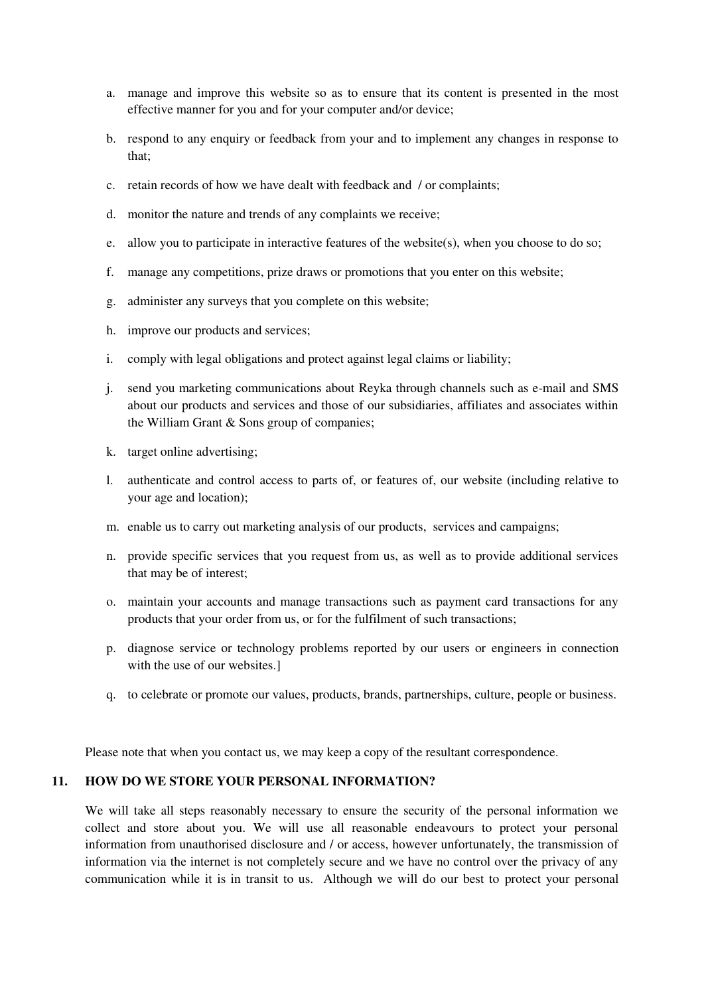- a. manage and improve this website so as to ensure that its content is presented in the most effective manner for you and for your computer and/or device;
- b. respond to any enquiry or feedback from your and to implement any changes in response to that;
- c. retain records of how we have dealt with feedback and / or complaints;
- d. monitor the nature and trends of any complaints we receive;
- e. allow you to participate in interactive features of the website(s), when you choose to do so;
- f. manage any competitions, prize draws or promotions that you enter on this website;
- g. administer any surveys that you complete on this website;
- h. improve our products and services;
- i. comply with legal obligations and protect against legal claims or liability;
- j. send you marketing communications about Reyka through channels such as e-mail and SMS about our products and services and those of our subsidiaries, affiliates and associates within the William Grant & Sons group of companies;
- k. target online advertising;
- l. authenticate and control access to parts of, or features of, our website (including relative to your age and location);
- m. enable us to carry out marketing analysis of our products, services and campaigns;
- n. provide specific services that you request from us, as well as to provide additional services that may be of interest;
- o. maintain your accounts and manage transactions such as payment card transactions for any products that your order from us, or for the fulfilment of such transactions;
- p. diagnose service or technology problems reported by our users or engineers in connection with the use of our websites.]
- q. to celebrate or promote our values, products, brands, partnerships, culture, people or business.

Please note that when you contact us, we may keep a copy of the resultant correspondence.

#### **11. HOW DO WE STORE YOUR PERSONAL INFORMATION?**

We will take all steps reasonably necessary to ensure the security of the personal information we collect and store about you. We will use all reasonable endeavours to protect your personal information from unauthorised disclosure and / or access, however unfortunately, the transmission of information via the internet is not completely secure and we have no control over the privacy of any communication while it is in transit to us. Although we will do our best to protect your personal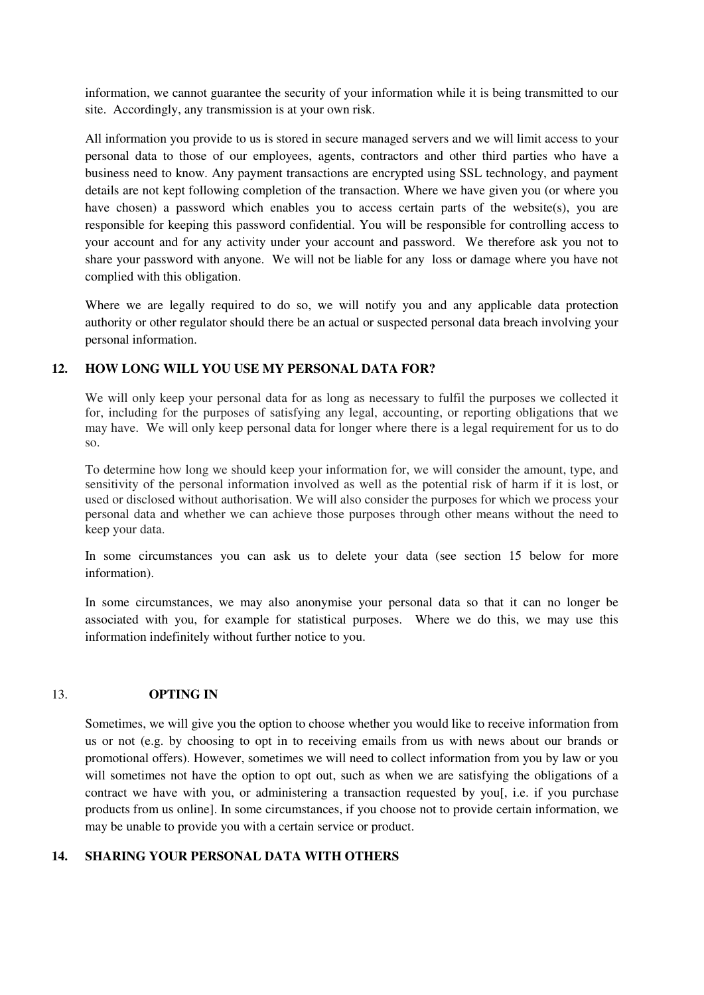information, we cannot guarantee the security of your information while it is being transmitted to our site. Accordingly, any transmission is at your own risk.

All information you provide to us is stored in secure managed servers and we will limit access to your personal data to those of our employees, agents, contractors and other third parties who have a business need to know. Any payment transactions are encrypted using SSL technology, and payment details are not kept following completion of the transaction. Where we have given you (or where you have chosen) a password which enables you to access certain parts of the website(s), you are responsible for keeping this password confidential. You will be responsible for controlling access to your account and for any activity under your account and password. We therefore ask you not to share your password with anyone. We will not be liable for any loss or damage where you have not complied with this obligation.

Where we are legally required to do so, we will notify you and any applicable data protection authority or other regulator should there be an actual or suspected personal data breach involving your personal information.

### **12. HOW LONG WILL YOU USE MY PERSONAL DATA FOR?**

We will only keep your personal data for as long as necessary to fulfil the purposes we collected it for, including for the purposes of satisfying any legal, accounting, or reporting obligations that we may have. We will only keep personal data for longer where there is a legal requirement for us to do so.

To determine how long we should keep your information for, we will consider the amount, type, and sensitivity of the personal information involved as well as the potential risk of harm if it is lost, or used or disclosed without authorisation. We will also consider the purposes for which we process your personal data and whether we can achieve those purposes through other means without the need to keep your data.

In some circumstances you can ask us to delete your data (see section 15 below for more information).

In some circumstances, we may also anonymise your personal data so that it can no longer be associated with you, for example for statistical purposes. Where we do this, we may use this information indefinitely without further notice to you.

#### 13. **OPTING IN**

Sometimes, we will give you the option to choose whether you would like to receive information from us or not (e.g. by choosing to opt in to receiving emails from us with news about our brands or promotional offers). However, sometimes we will need to collect information from you by law or you will sometimes not have the option to opt out, such as when we are satisfying the obligations of a contract we have with you, or administering a transaction requested by you[, i.e. if you purchase products from us online]. In some circumstances, if you choose not to provide certain information, we may be unable to provide you with a certain service or product.

#### **14. SHARING YOUR PERSONAL DATA WITH OTHERS**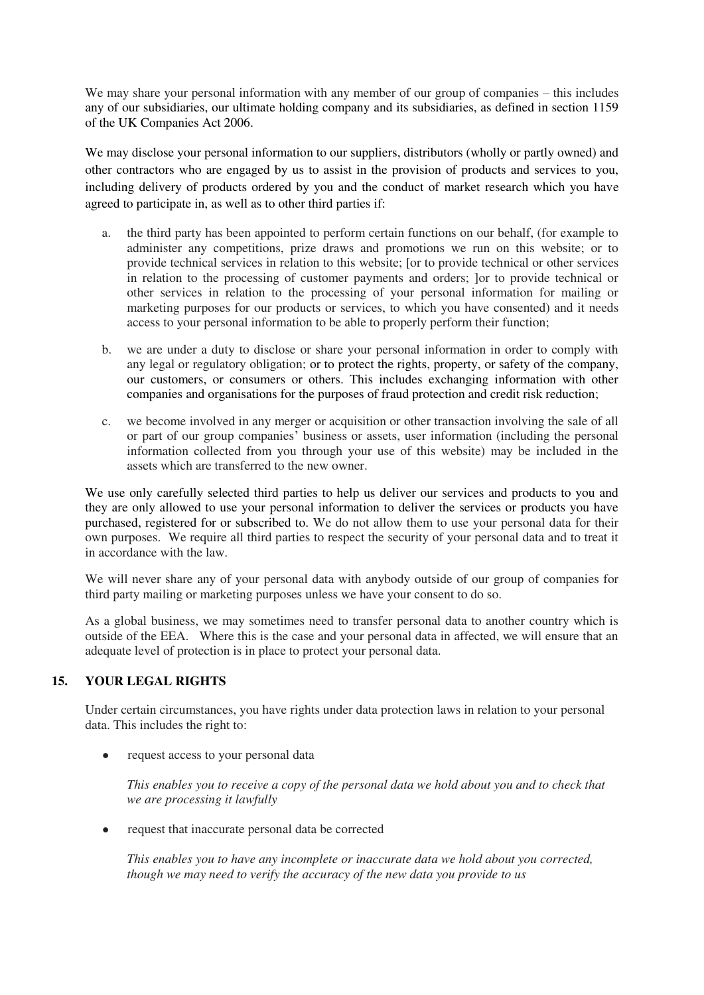We may share your personal information with any member of our group of companies – this includes any of our subsidiaries, our ultimate holding company and its subsidiaries, as defined in section 1159 of the UK Companies Act 2006.

We may disclose your personal information to our suppliers, distributors (wholly or partly owned) and other contractors who are engaged by us to assist in the provision of products and services to you, including delivery of products ordered by you and the conduct of market research which you have agreed to participate in, as well as to other third parties if:

- a. the third party has been appointed to perform certain functions on our behalf, (for example to administer any competitions, prize draws and promotions we run on this website; or to provide technical services in relation to this website; [or to provide technical or other services in relation to the processing of customer payments and orders; ]or to provide technical or other services in relation to the processing of your personal information for mailing or marketing purposes for our products or services, to which you have consented) and it needs access to your personal information to be able to properly perform their function;
- b. we are under a duty to disclose or share your personal information in order to comply with any legal or regulatory obligation; or to protect the rights, property, or safety of the company, our customers, or consumers or others. This includes exchanging information with other companies and organisations for the purposes of fraud protection and credit risk reduction;
- c. we become involved in any merger or acquisition or other transaction involving the sale of all or part of our group companies' business or assets, user information (including the personal information collected from you through your use of this website) may be included in the assets which are transferred to the new owner.

We use only carefully selected third parties to help us deliver our services and products to you and they are only allowed to use your personal information to deliver the services or products you have purchased, registered for or subscribed to. We do not allow them to use your personal data for their own purposes. We require all third parties to respect the security of your personal data and to treat it in accordance with the law.

We will never share any of your personal data with anybody outside of our group of companies for third party mailing or marketing purposes unless we have your consent to do so.

As a global business, we may sometimes need to transfer personal data to another country which is outside of the EEA. Where this is the case and your personal data in affected, we will ensure that an adequate level of protection is in place to protect your personal data.

# **15. YOUR LEGAL RIGHTS**

Under certain circumstances, you have rights under data protection laws in relation to your personal data. This includes the right to:

● request access to your personal data

*This enables you to receive a copy of the personal data we hold about you and to check that we are processing it lawfully*

• request that inaccurate personal data be corrected

*This enables you to have any incomplete or inaccurate data we hold about you corrected, though we may need to verify the accuracy of the new data you provide to us*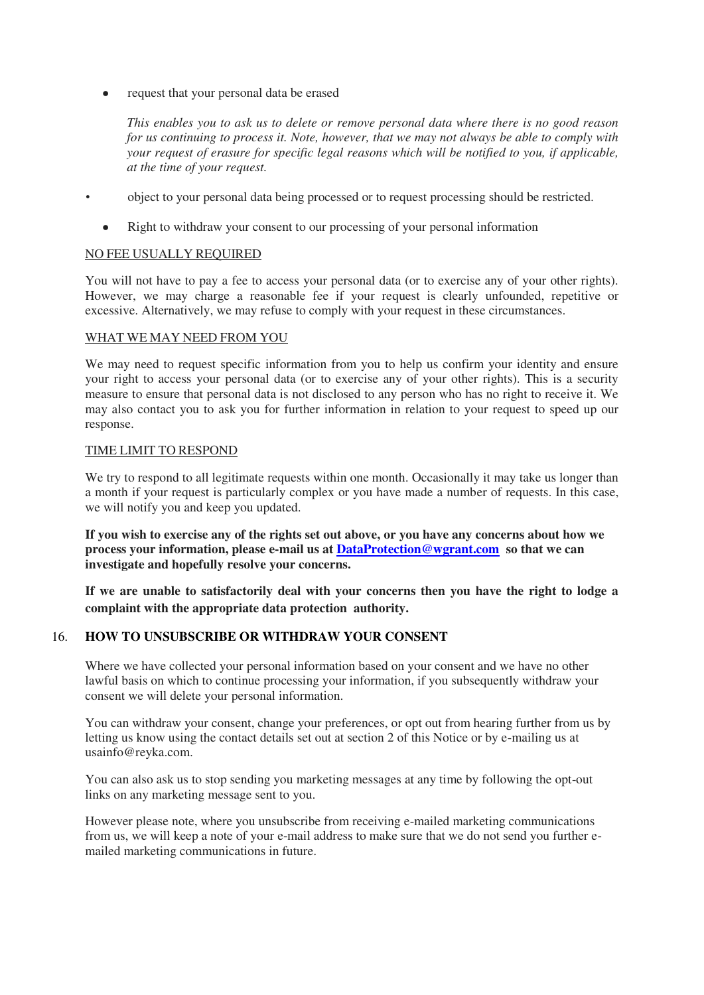request that your personal data be erased

*This enables you to ask us to delete or remove personal data where there is no good reason for us continuing to process it. Note, however, that we may not always be able to comply with your request of erasure for specific legal reasons which will be notified to you, if applicable, at the time of your request.*

- **••** object to your personal data being processed or to request processing should be restricted.
	- Right to withdraw your consent to our processing of your personal information

### NO FEE USUALLY REQUIRED

You will not have to pay a fee to access your personal data (or to exercise any of your other rights). However, we may charge a reasonable fee if your request is clearly unfounded, repetitive or excessive. Alternatively, we may refuse to comply with your request in these circumstances.

#### WHAT WE MAY NEED FROM YOU

We may need to request specific information from you to help us confirm your identity and ensure your right to access your personal data (or to exercise any of your other rights). This is a security measure to ensure that personal data is not disclosed to any person who has no right to receive it. We may also contact you to ask you for further information in relation to your request to speed up our response.

## TIME LIMIT TO RESPOND

We try to respond to all legitimate requests within one month. Occasionally it may take us longer than a month if your request is particularly complex or you have made a number of requests. In this case, we will notify you and keep you updated.

**If you wish to exercise any of the rights set out above, or you have any concerns about how we process your information, please e-mail us at [DataProtection@wgrant.com](mailto:DataProtection@wgrant.com) so that we can investigate and hopefully resolve your concerns.**

**If we are unable to satisfactorily deal with your concerns then you have the right to lodge a complaint with the appropriate data protection authority.**

## 16. **HOW TO UNSUBSCRIBE OR WITHDRAW YOUR CONSENT**

Where we have collected your personal information based on your consent and we have no other lawful basis on which to continue processing your information, if you subsequently withdraw your consent we will delete your personal information.

You can withdraw your consent, change your preferences, or opt out from hearing further from us by letting us know using the contact details set out at section 2 of this Notice or by e-mailing us at usainfo@reyka.com.

You can also ask us to stop sending you marketing messages at any time by following the opt-out links on any marketing message sent to you.

However please note, where you unsubscribe from receiving e-mailed marketing communications from us, we will keep a note of your e-mail address to make sure that we do not send you further emailed marketing communications in future.